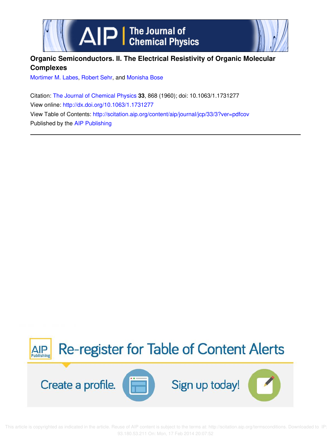



# **Organic Semiconductors. II. The Electrical Resistivity of Organic Molecular Complexes**

Mortimer M. Labes, Robert Sehr, and Monisha Bose

Citation: The Journal of Chemical Physics **33**, 868 (1960); doi: 10.1063/1.1731277 View online: http://dx.doi.org/10.1063/1.1731277 View Table of Contents: http://scitation.aip.org/content/aip/journal/jcp/33/3?ver=pdfcov Published by the AIP Publishing



 This article is copyrighted as indicated in the article. Reuse of AIP content is subject to the terms at: http://scitation.aip.org/termsconditions. Downloaded to IP: 93.180.53.211 On: Mon, 17 Feb 2014 20:07:52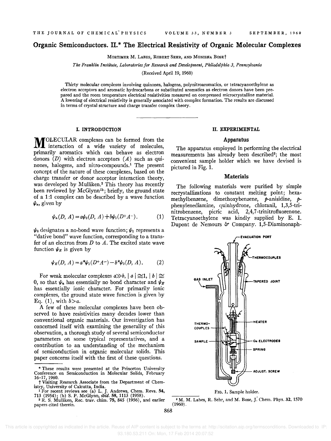## Organic Semiconductors. II.\* The Electrical Resistivity of Organic Molecular Complexes

MORTIMER M. LABES, ROBERT SEHR, AND MONISHA BOSEt

*The Franklin Institute, Laboratories for Research and Development, Philadelphia* 3, *Pennsylvania* 

(Received April 19, 1960)

Thirty molecular complexes involving quinones, halogens, polynitroaromatics, or tetracyanoethylene as electron acceptors and aromatic hydrocarbons or substituted aromatics as electron donors have been prepared and the room temperature electrical resistivities measured on compressed microcrystalline material. A lowering of electrical resistivity is generally associated with complex formation. The results are discussed in terms of crystal structure and charge transfer complex theory.

#### I. INTRODUCTION

**M**OLECULAR complexes can be formed from the interaction of a wide variety of molecules, I interaction of a wide variety of molecules, primarily aromatics which can behave as electron donors  $(D)$  with electron acceptors  $(A)$  such as quinones, halogens, and nitro-compounds.<sup>1</sup> The present concept of the nature of these complexes, based on the charge transfer or donor acceptor interaction theory, was developed by Mulliken.<sup>2</sup> This theory has recently been reviewed by McGlynn<sup>1b</sup>; briefly, the ground state of a 1:1 complex can be described by a wave function  $\psi_n$ , given by

$$
\psi_n(D, A) = a\psi_0(D, A) + b\psi_1(D^+A^-). \tag{1}
$$

 $\psi_0$  designates a no-bond wave function;  $\psi_1$  represents a "dative bond" wave function, corresponding to a transfer of an electron from  $D$  to  $A$ . The excited state wave function  $\psi_E$  is given by

$$
\psi_E(D, A) = a^* \psi_1(D^+ A^-) - b^* \psi_0(D, A). \tag{2}
$$

For weak molecular complexes  $a \gg b$ ,  $|a| \approx 1$ ,  $|b| \approx 1$ 0, so that  $\psi_n$  has essentially no bond character and  $\psi_E$ has essentially ionic character. For primarily ionic complexes, the ground state wave function is given by Eq.  $(1)$ , with  $b>a$ .

A few of these molecular complexes have been observed to have resistivities many decades lower than conventional organic materials. Our investigation has concerned itself with examining the generality of this observation, a thorough study of several semiconductor parameters on some typical representatives, and a contribution to an understanding of the mechanism of semiconduction in organic molecular solids. This paper concerns itself with the first of these questions.

#### II. EXPERIMENTAL

#### Apparatus

The apparatus employed in performing the electrical measurements has already been described<sup>3</sup>; the most convenient sample holder which we have devised is pictured in Fig. 1.

#### Materials

The following materials were purified by simple recrystallizations to constant melting point; hexamethylbenzene, dimethoxybenzene,  $p$ -anisidine,  $p$ phenylenediamine, quinhydrone, chloranil, 1,3,S-trinitrobenzene, picric acid, 2,4,7 -trinitrofluorenone. Tetracyanoethylene was kindly supplied by E. 1. Dupont de Nemours & Company. 1,5-Diaminonaph-



<sup>3</sup> M. M. Labes, R. Sehr, and M. Bose, J. Chem. Phys. 32, 1570  $(1960)$ .

 This article is copyrighted as indicated in the article. Reuse of AIP content is subject to the terms at: http://scitation.aip.org/termsconditions. Downloaded to IP: 93.180.53.211 On: Mon, 17 Feb 2014 20:07:52

<sup>\*</sup> These results were presented at the Princeton University Conference on Semiconduction in Molecular Solids, February 16-17,1960.

t Visiting Research Associate from the Department of Chemistry, University of Calcutta, India.

<sup>&</sup>lt;sup>1</sup>For recent reviews see (a) L. J. Andrews, Chem. Revs. 54, 713 (1954); (b) S. P. McGlynn, *ibid.* 58, 1113 (1958). <sup>2</sup> R. S. Mulliken, Rec. trav. chim. 75, 845 (1956), and earlier

papers cited therein.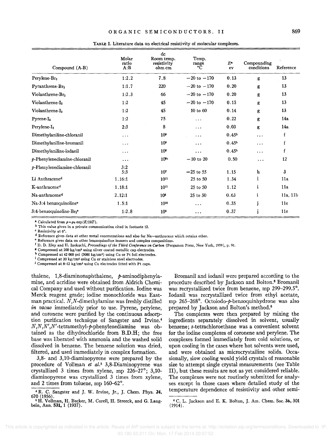| Compound $(A-B)$                                | Molar<br>ratio<br>A:B | dc<br>Room temp.<br>resistivity<br>ohm cm | Temp.<br>range<br>°C | $E^{\bullet}$<br>ev | Compounding<br>conditions | Reference |
|-------------------------------------------------|-----------------------|-------------------------------------------|----------------------|---------------------|---------------------------|-----------|
| Perylene-Br <sub>2</sub>                        | 1:2.2                 | 7.8                                       | $-20$ to $-170$      | 0.13                | g                         | 13        |
| Pyranthrene-Br2                                 | 1:1.7                 | 220                                       | $-20$ to $-170$      | 0.20                | g                         | 13        |
| Violanthrene-Br2                                | 1:2.3                 | 66                                        | $-20$ to $-170$      | 0.20                | g                         | 13        |
| Violanthrene-I <sub>2</sub>                     | 1:2                   | 45                                        | $-20$ to $-170$      | 0.15                | g                         | 13        |
| Violanthrene-I <sub>2</sub>                     | 1:2                   | 45                                        | 10 to 60             | 0.14                | g                         | 13        |
| $P$ yrene- $I_2$                                | 1:2                   | 75                                        | .                    | 0.22                | g                         | 14a       |
| Perylene-I <sub>2</sub>                         | 2:3                   | 8                                         | $\cdots$             | 0.03                | g                         | 14a       |
| Dimethylaniline-chloranil                       | $\cdots$              | 10 <sup>9</sup>                           | $\cdots$             | 0.45 <sup>b</sup>   | $\cdots$                  | f         |
| Dimethylaniline-bromanil                        | المعاملة              | 10 <sup>9</sup>                           | .                    | 0.45 <sup>b</sup>   | $\cdots$                  | f         |
| Dimethylaniline-iodanil                         | $\ddotsc$             | 10 <sup>8</sup>                           | .                    | 0.45 <sup>b</sup>   | $\cdots$                  | f         |
| $p$ -Phenylenediamine-chloranil                 | $\cdots$              | $10^{6c}$                                 | $-10$ to 20          | 0.50                | $\ddotsc$                 | 12        |
| $p$ -Phenylenediamine-chloranil                 | 3:2<br>5:3            | 10 <sup>7</sup>                           | $-25$ to 55          | 1.15                | ħ                         | 3         |
| Li Anthracene <sup>d</sup>                      | 1.16:1                | $10^{11}$                                 | 25 to 50             | 1.34                | i                         | 11a       |
| K-anthracene <sup>d</sup>                       | 1.18:1                | $10^{11}$                                 | 25 to 50             | 1.12                | i                         | 11a       |
| Na-anthracened                                  | 2.12:1                | 10 <sup>8</sup>                           | 25 to 50             | 0.63                | i                         | 11a, 11b  |
| Na-3:4 benzoquinoline <sup>®</sup>              | 1.5:1                 | $10^{10}$                                 | .                    | 0.35                |                           | 11e       |
| 3:4-benzoquinoline-Br <sub>2</sub> <sup>e</sup> | 1:2.8                 | 10 <sup>6</sup>                           | .                    | 0.37                |                           | 11e       |

TABLE I. Literature data on electrical resistivity of molecular complexes.

<sup>a</sup> Calculated from  $\rho = \rho_0 \exp(E/2kT)$ .

**b This value given in a private communication cited in footnote 12.** 

e **Resistivity at 0".** 

d Reference gives data at other metal concentrations and also for Na-anthracene which retains ether.

**e Reference gives data on other benzoquinoline isomers and complex compositions.** 

<sup>f</sup>D. D. Eley and H. lnokuchi, *Proceedings of the Third Conference on C.rbon* (Pergamon Press, New York, 1959), p. 91.

<sup>K</sup>Compressed at 200 kg/em' using silver coated metallic cap electrodes.

h Compressed at 42 000 psi  $(3000 \text{ kg/cm}^2)$  using Cu or Pt foil electrodes.

<sup>i</sup> Compressed at 20 kg/cm<sup>2</sup> using Cu or stainless steel electrodes.

<sup>i</sup> Compressed at 8-12 kg/cm<sup>2</sup> using Cu electrodes fitted with Pt caps.

thalene,  $1,8$ -diaminonaphthalene,  $p$ -aminodiphenylamine, and acridine were obtained from Aldrich Chemical Company and used without purification. Iodine was Merck reagent grade; iodine monochloride was Eastman practical. N,N-dimethylamine was freshly distilled *in vacuo* immediately prior to use. Pyrene, perylene, and coronene were purified by the continuous adsorption purification technique of Sangster and Irvine.<sup>4</sup>  $N, N, N', N'$ -tetramethyl- $p$ -phenylenediamine was obtained as the dihydrochloride from B.D.H; the free base was liberated with ammonia and the washed solid dissolved in benzene. The benzene solution was dried, filtered, and used immediately in complex formation.

3,8- and 3,10-diaminopyrene were prepared by the procedure of Vollman *et al.*<sup>5</sup> 3,8-Diaminopyrene was crystallized 3 times from xylene, mp 226-27°; 3,10 diaminopyrene was crystallized 3 times from xylene, and 2 times from toluene, mp 160-62°.

Bromanil and iodanil were prepared according to the procedure described by Jackson and Bolton.<sup>6</sup> Bromanil was recrystallized twice from benzene, mp 299-299.5°. Iodanil was recrystallized twice from ethyl acetate, mp 265-268°. Octoiodo-p-benzoquinhydrone was also prepared by Jackson and Bolton's method.<sup>6</sup>

The complexes were then prepared by mixing the ingredients separately dissolved in solvent, usually benzene; s-tetrachloroethane was a convenient solvent for the iodine complexes of coronene and perylene. The complexes formed immediately from cold solutions, or upon cooling in the cases where hot solvents were used, and were obtained as microcrystalline solids. Occasionally, slow cooling would yield crystals of reasonable size to attempt single crystal measurements (see Table II), but these results are not as yet considered reliable. The complexes were not routinely submitted for analyses except in those cases where detailed study of the temperature dependence of resistivity and other semi-

<sup>6</sup>C. L. Jackson and E. K. Bolton, J. Am. Chern. Soc. 36,301  $(1914)$ .

<sup>&</sup>lt;sup>4</sup> R. C. Sangster and J. W. Irvine, Jr., J. Chem. Phys. 24, 670 (1956).

<sup>&</sup>lt;sup>6</sup> H. Vollman, H. Becker, M. Corell, H. Streeck, and G. Langbein, Ann. 531, 1 (1937).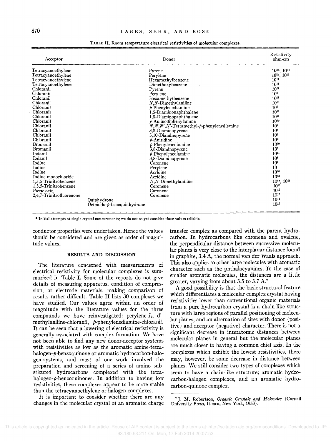| Acceptor                                                                                                                                                                                                                                                                                                                                                                                                                                                              |                              | Donor                                                                                                                                                                                                                                                                                                                                                                                                                                                                                                                                                                     | Resistivity<br>ohm-cm                                                                                                                                                                                                                                                                                                                                                                                                                                               |
|-----------------------------------------------------------------------------------------------------------------------------------------------------------------------------------------------------------------------------------------------------------------------------------------------------------------------------------------------------------------------------------------------------------------------------------------------------------------------|------------------------------|---------------------------------------------------------------------------------------------------------------------------------------------------------------------------------------------------------------------------------------------------------------------------------------------------------------------------------------------------------------------------------------------------------------------------------------------------------------------------------------------------------------------------------------------------------------------------|---------------------------------------------------------------------------------------------------------------------------------------------------------------------------------------------------------------------------------------------------------------------------------------------------------------------------------------------------------------------------------------------------------------------------------------------------------------------|
| Tetracyanoethylene<br>Tetracyanoethylene<br>Tetracyanoethylene<br>Tetracyanoethylene<br>Chloranil<br>Chloranil<br>Chloranil<br>Chloranil<br>Chloranil<br>Chloranil<br>Chloranil<br>Chloranil<br>Chloranil<br>Chloranil<br>Chloranil<br>Chloranil<br><b>Bromanil</b><br><b>Bromanil</b><br>Iodanil<br>Iodanil<br>Iodine<br>Iodine<br><b>Iodine</b><br>Iodine monochloride<br>1,3,5-Trinitrobenzene<br>1,3,5-Trinitrobenzene<br>Picric acid<br>2,4,7-Trinitrofluorenone | Quinhydrone                  | Pyrene<br>Perylene<br>Hexamethylbenzene<br>Dimethoxybenzene<br>Pyrene<br>Perylene<br>Hexamethylbenzene<br>$N, N$ -Dimethylaniline<br>$p$ -Phenylenediamine<br>1,5-Diaminonaphthalene<br>1,8-Diaminopaphthalene<br>$p$ -Aminodiphenylamine<br>$N, N, N', N'$ -Tetramethyl- $p$ -phenylenediamine<br>3,8-Diaminopyrene<br>3,10-Diaminopyrene<br>$\nu$ -Anisidine<br>$p$ -Phenylenediamine<br>3,8-Diaminopyrene<br>$p$ -Phenylenediamine<br>3,8-Diaminopyrene<br>Coronene<br>Pervlene<br>Acridine<br>Acridine<br>$N, N$ -Dimethylaniline<br>Coronene<br>Coronene<br>Coronene | $10^{8a}$ , $10^{10}$<br>$10^{8a}$ , $10^{11}$<br>$10^{11}$<br>$10^{11}$<br>$10^{11}$<br>10 <sup>8</sup><br>$10^{11}$<br>$10^{10}$<br>10 <sup>7</sup><br>$10^{11}$<br>$10^{11}$<br>$10^{10}$<br>10 <sup>9</sup><br>10 <sup>4</sup><br>10 <sup>6</sup><br>$10^{11}$<br>1010<br>$10^{3}$<br>$10^{11}$<br>10 <sup>e</sup><br>10 <sup>9</sup><br>10<br>$10^{13}$<br>$10^{13}$<br>$10^{8a}$ , $10^{11}$<br>$10^{13}$<br>$10^{12}$<br>$10^{12}$<br>$10^{11}$<br>$10^{11}$ |
|                                                                                                                                                                                                                                                                                                                                                                                                                                                                       | $Octoiodo-p-benzquinhydrone$ |                                                                                                                                                                                                                                                                                                                                                                                                                                                                                                                                                                           |                                                                                                                                                                                                                                                                                                                                                                                                                                                                     |

TABLE II. Room temperature electrical resistivities of molecular complexes.

\* Initial attempts at single crystal measurements; we do not as yet consider these values reliable.

conductor properties were undertaken. Hence the values should be considered and are given as order of magnitude values.

#### RESULTS AND DISCUSSION

The literature concerned with measurements of electrical resistivity for molecular complexes is summarized in Table I. Some of the reports do not give details of measuring apparatus, condition of compression, or electrode materials, making comparison of results rather difficult. Table II lists 30 complexes we have studied. Our values agree within an order of magnitude with the literature values for the three compounds we have reinvestigated: perylene- $I_2$ , dimethylaniline-chloranil, p-phenylenediamine-chloranil. It can be seen that a lowering of electrical resistivity is generally associated with complex formation. We have not been able to find any new donor-acceptor systems with resistivities as low as the aromatic amine-tetrahalogen-p-benzoquinone or aromatic hydrocarbon-halogen systems, and most of our work involved the preparation and screening of a series of amino substituted hydrocarbons complexed with the tetrahalogen-p-benzoquinones. In addition to having low resistivities, these complexes appear to be more stable than the tetracyanoethylene or halogen complexes.

It is important to consider whether there are any changes in the molecular crystal of an aromatic charge transfer complex as compared with the parent hydrocarbon. In hydrocarbons like coronene and ovalene, the perpendicular distance between successive molecular planes is very close to the interplanar distance found in graphite, 3.4 A, the normal van der Waals approach. This also applies to other large molecules with aromatic character such as the phthalocyanines. In the case of smaller aromatic molecules, the distances are a little greater, varying from about 3.5 to 3.7 A.7

A good possibility is that the basic structural feature which differentiates a molecular complex crystal having resistivities lower than conventional organic materials from a pure hydrocarbon crystal is a chain-like structure with large regions of parallel positioning of molecular planes, and an alternation of sites with donor (positive) and acceptor (negative) character. There is not a significant decrease in interatomic distances between molecular planes in general but the molecular planes are much closer to having a common chief axis. In the complexes which exhibit the lowest resistivities, there may, however, be some decrease in distance between planes. We still consider two types of complexes which seem to have a chain-like structure; aromatic hydrocarbon-halogen complexes, and an aromatic hydrocarbon-quinone complex.

<sup>7</sup> J. M. Robertson, *Organic Crystals and Molecules* (Cornell University Press, Ithaca, New York, 1953).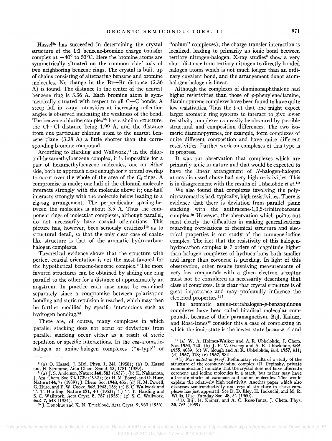Hassel<sup>8a</sup> has succeeded in determining the crystal structure of the 1:1 benzene-bromine charge transfer complex at  $-40^{\circ}$  to 50°C. Here the bromine atoms are symmetrically situated on the common chief axis of two neighboring benzene rings. The crystal is built up of chains consisting of alternating benzene and bromine molecules. No change in the Br-Br distance (2.36) A) is found. The distance to the center of the nearest benzene ring is 3.36 A. Each bromine atom is symmetrically situated with respect to all  $C-C$  bonds. A steep fall in x-ray intensities at increasing reflection angles is observed indicating the weakness of the bond. The benzene-chlorine complex<sup>8b</sup> has a similar structure, the CI-Cl distance being 1.99 A, and the distance from one particular chlorine atom to the nearest benzene plane (3.28 A) a little shorter than the corresponding bromine compound.

According to Harding and Wallwork,<sup>9f</sup> in the chloranil-hexamethylbenzene complex, it is impossible for a pair of hexamethylbenzene molecules, one on either side, both to approach close enough for  $\pi$  orbital overlap to occur over the whole of the area of the  $C_6$  rings. A compromise is made; one-half of the chloranil molecule interacts strongly with the molecule above it; one-half interacts strongly with the molecule below leading to a zig-zag arrangement. The perpendicular spacing between the molecules is about 3.5 A. Thus the component rings of molecular complexes, although parallel, do not necessarily have coaxial orientations. This picture has, however, been seriously criticized<sup>10</sup> as to structural detail, so that the only clear case of chainlike structure is that of the aromatic hydrocarbonhalogen complexes.

Theoretical evidence shows that the structure with perfect coaxial orientation is not the most favored for the hypothetical benzene-benzene complex.<sup>2</sup> The more favored structures can be obtained by sliding one ring parallel to the other for a distance of approximately an angstrom. In practice each case must be examined separately since a compromise between polarization bonding and steric repulsion is reached, which may then be further modified by specific interactions such as hydrogen bonding.9d

There are, of course, many complexes in which parallel stacking does not occur or deviations from parallel stacking occur either as a result of steric repulsion or specific interactions. In the aza-aromatichalogen or amine-halogen complexes ("n-type" or

"onium" complexes), the charge transfer interaction is localized, leading to primarily an ionic bond between tertiary nitrogen-halogen. X-ray studies<sup>8</sup> show a very short distance from tertiary nitrogen to directly bonded halogen atoms which is not much longer than an ordinary covalent bond, and the arrangement donor atomhalogen-halogen is linear.

Although the complexes of diaminonaphthalene had higher resistivities than those of  $p$ -phenylenediamine, diaminopyrene complexes have been found to have quite low resistivities. Thus the fact that one might expect larger aromatic ring systems to interact to give lower resistivity complexes can easily be obscured by possible structural and composition differences. The two isomeric diaminopyrenes, for example, form complexes of quite different composition and have quite different resistivities. Further work on complexes of this type is in progress.

It was our observation that complexes which are primarily ionic in nature and that would be expected to have the linear arrangement of N-halogen-halogen atoms discussed above had very high resistivities. This is in disagreement with the results of Ubbelohde *et al.*<sup>11e</sup>

We also found that complexes involving the polynitroaromatics had, typically, high resistivities. There is evidence that there is deviation from parallel plane stacking with the anthracene-l,3,5-trinitrobenzene complex.9g However, the observation which points out most clearly the difficulties in making generalizations regarding correlations of chemical structure and electrical properties is our study of the coronene-iodine complex. The fact that the resistivity of this halogenhydrocarbon complex is 7 orders of magnitude higher than halogen complexes of hydrocarbons both smaller and larger than coronene is puzzling. In light of this observation, other results involving measurements of very few compounds with a given electron acceptor must not be considered as necessarily describing that class of complexes. It is clear that crystal structure is of great importance and may profoundly influence the electrical properties.<sup>11f</sup>

The aromatic amine-tetrahalogen-p-benzoquinone complexes have been called biradical molecular compounds, because of their paramagnetism. Bijl, Kainer, and Rose-Innes<sup>12</sup> consider this a case of complexing in which the ionic state is the lowest state because A and

<sup>&</sup>lt;sup>8</sup> (a) O. Hassel, J. Mol. Phys. 1, 241 (1958); (b) O. Hassel<br>and H. Stromme, Acta Chem. Scand. 13, 1781 (1959).<br> $^{9}$  (a) J. S. Anderson, Nature 140, 583 (1937); (b) K. Nakamoto,<br>J. Am. Chem. Soc. 74, 1739 (1952); (c) H.

<sup>&</sup>lt;sup>11</sup> (a) W. A. Holmes-Walker and A. R. Ubbelohde, J. Chem. Soc. 1954, 720; (b) J. P. V. Gracey and A. R. Ubbelohde, *ibid.* 1957, 911; (d) 1957, 918; (e) 1957, 982.

<sup>11(</sup>f) *Note added in proof:* Preliminary results of a study of the structure of the coronene-iodine complex (R. Pepinsky, private communication) indicate that the crystal does not have alternate coronene and iodine molecules in a stack, but rather may have alternate stacks of coronene and iodine molecules. This would explain the relatively high resistivity. Another paper which also<br>discusses semiconductivity and crystal structure in these com-<br>plexes has just appeared. See D. D. Eley, H. Inokuchi, and M. R.<br>Willis, Disc. Faraday Soc.

<sup>30, 765 (1959).</sup>